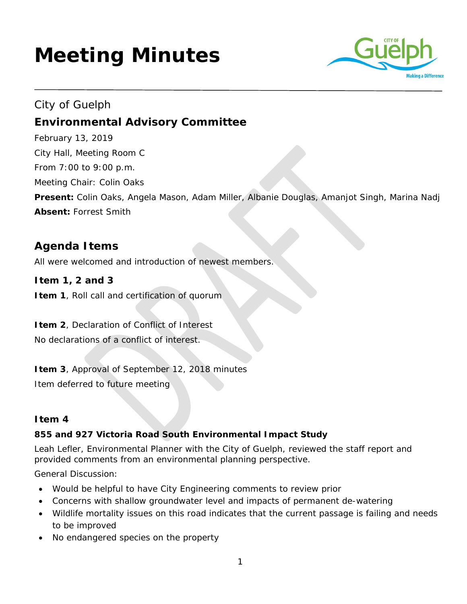# **Meeting Minutes**



# City of Guelph **Environmental Advisory Committee**

February 13, 2019 City Hall, Meeting Room C From 7:00 to 9:00 p.m. Meeting Chair: Colin Oaks **Present:** Colin Oaks, Angela Mason, Adam Miller, Albanie Douglas, Amanjot Singh, Marina Nadj **Absent:** Forrest Smith

# **Agenda Items**

All were welcomed and introduction of newest members.

**Item 1, 2 and 3 Item 1**, Roll call and certification of quorum

**Item 2**, Declaration of Conflict of Interest No declarations of a conflict of interest.

**Item 3**, Approval of September 12, 2018 minutes

Item deferred to future meeting

# **Item 4**

# **855 and 927 Victoria Road South Environmental Impact Study**

Leah Lefler, Environmental Planner with the City of Guelph, reviewed the staff report and provided comments from an environmental planning perspective.

General Discussion:

- Would be helpful to have City Engineering comments to review prior
- Concerns with shallow groundwater level and impacts of permanent de-watering
- Wildlife mortality issues on this road indicates that the current passage is failing and needs to be improved
- No endangered species on the property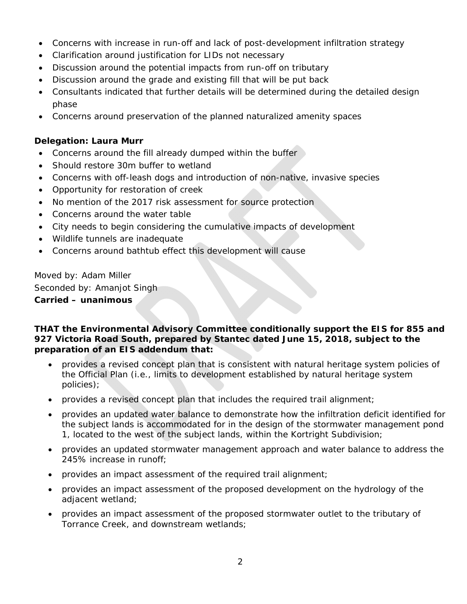- Concerns with increase in run-off and lack of post-development infiltration strategy
- Clarification around justification for LIDs not necessary
- Discussion around the potential impacts from run-off on tributary
- Discussion around the grade and existing fill that will be put back
- Consultants indicated that further details will be determined during the detailed design phase
- Concerns around preservation of the planned naturalized amenity spaces

#### **Delegation: Laura Murr**

- Concerns around the fill already dumped within the buffer
- Should restore 30m buffer to wetland
- Concerns with off-leash dogs and introduction of non-native, invasive species
- Opportunity for restoration of creek
- No mention of the 2017 risk assessment for source protection
- Concerns around the water table
- City needs to begin considering the cumulative impacts of development
- Wildlife tunnels are inadequate
- Concerns around bathtub effect this development will cause

Moved by: Adam Miller Seconded by: Amanjot Singh **Carried – unanimous** 

#### **THAT the Environmental Advisory Committee conditionally support the EIS for 855 and 927 Victoria Road South, prepared by Stantec dated June 15, 2018, subject to the preparation of an EIS addendum that:**

- provides a revised concept plan that is consistent with natural heritage system policies of the Official Plan (i.e., limits to development established by natural heritage system policies);
- provides a revised concept plan that includes the required trail alignment;
- provides an updated water balance to demonstrate how the infiltration deficit identified for the subject lands is accommodated for in the design of the stormwater management pond 1, located to the west of the subject lands, within the Kortright Subdivision;
- provides an updated stormwater management approach and water balance to address the 245% increase in runoff;
- provides an impact assessment of the required trail alignment;
- provides an impact assessment of the proposed development on the hydrology of the adjacent wetland;
- provides an impact assessment of the proposed stormwater outlet to the tributary of Torrance Creek, and downstream wetlands;